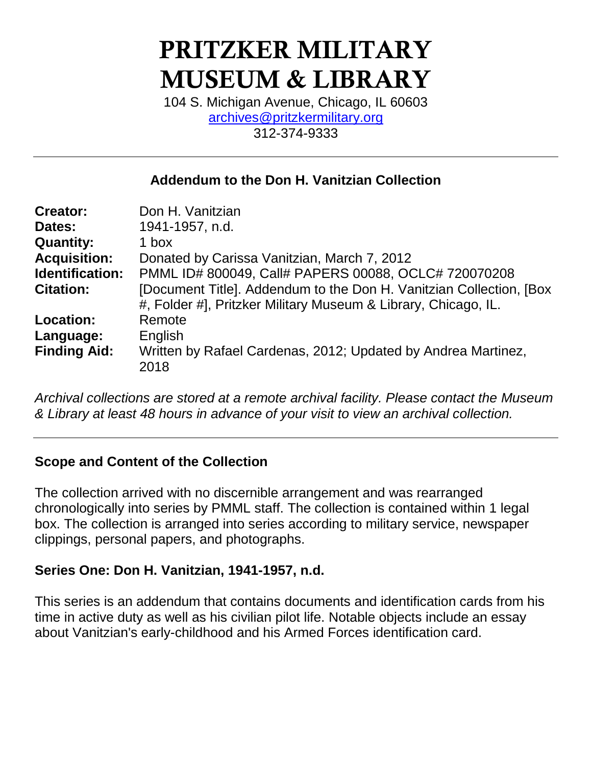# PRITZKER MILITARY MUSEUM & LIBRARY

104 S. Michigan Avenue, Chicago, IL 60603 [archives@pritzkermilitary.org](mailto:archives@pritzkermilitary.org) 312-374-9333

## **Addendum to the Don H. Vanitzian Collection**

| <b>Creator:</b>        | Don H. Vanitzian                                                     |
|------------------------|----------------------------------------------------------------------|
| Dates:                 | 1941-1957, n.d.                                                      |
| <b>Quantity:</b>       | 1 box                                                                |
| <b>Acquisition:</b>    | Donated by Carissa Vanitzian, March 7, 2012                          |
| <b>Identification:</b> | PMML ID# 800049, Call# PAPERS 00088, OCLC# 720070208                 |
| <b>Citation:</b>       | [Document Title]. Addendum to the Don H. Vanitzian Collection, [Box] |
|                        | #, Folder #], Pritzker Military Museum & Library, Chicago, IL.       |
| Location:              | Remote                                                               |
| Language:              | English                                                              |
| <b>Finding Aid:</b>    | Written by Rafael Cardenas, 2012; Updated by Andrea Martinez,        |
|                        | 2018                                                                 |

*Archival collections are stored at a remote archival facility. Please contact the Museum & Library at least 48 hours in advance of your visit to view an archival collection.*

## **Scope and Content of the Collection**

The collection arrived with no discernible arrangement and was rearranged chronologically into series by PMML staff. The collection is contained within 1 legal box. The collection is arranged into series according to military service, newspaper clippings, personal papers, and photographs.

## **Series One: Don H. Vanitzian, 1941-1957, n.d.**

This series is an addendum that contains documents and identification cards from his time in active duty as well as his civilian pilot life. Notable objects include an essay about Vanitzian's early-childhood and his Armed Forces identification card.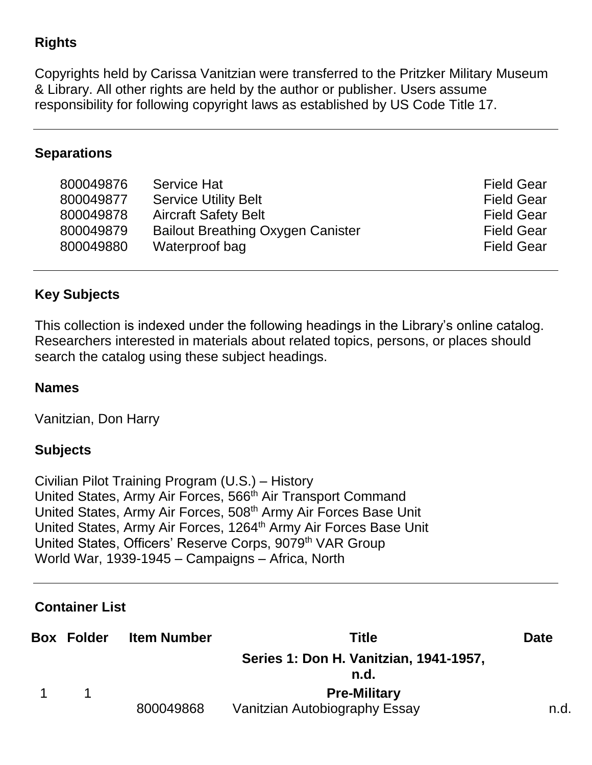## **Rights**

Copyrights held by Carissa Vanitzian were transferred to the Pritzker Military Museum & Library. All other rights are held by the author or publisher. Users assume responsibility for following copyright laws as established by US Code Title 17.

#### **Separations**

| 800049876 | <b>Service Hat</b>                       | <b>Field Gear</b> |
|-----------|------------------------------------------|-------------------|
| 800049877 | <b>Service Utility Belt</b>              | <b>Field Gear</b> |
| 800049878 | <b>Aircraft Safety Belt</b>              | <b>Field Gear</b> |
| 800049879 | <b>Bailout Breathing Oxygen Canister</b> | <b>Field Gear</b> |
| 800049880 | Waterproof bag                           | <b>Field Gear</b> |
|           |                                          |                   |

## **Key Subjects**

This collection is indexed under the following headings in the Library's online catalog. Researchers interested in materials about related topics, persons, or places should search the catalog using these subject headings.

#### **Names**

Vanitzian, Don Harry

#### **Subjects**

Civilian Pilot Training Program (U.S.) – History United States, Army Air Forces, 566<sup>th</sup> Air Transport Command United States, Army Air Forces, 508<sup>th</sup> Army Air Forces Base Unit United States, Army Air Forces, 1264<sup>th</sup> Army Air Forces Base Unit United States, Officers' Reserve Corps, 9079<sup>th</sup> VAR Group World War, 1939-1945 – Campaigns – Africa, North

#### **Container List**

| <b>Box Folder</b> | <b>Item Number</b> | Title                                          | <b>Date</b> |
|-------------------|--------------------|------------------------------------------------|-------------|
|                   |                    | Series 1: Don H. Vanitzian, 1941-1957,<br>n.d. |             |
| 1                 |                    | <b>Pre-Military</b>                            |             |
|                   | 800049868          | Vanitzian Autobiography Essay                  | n.d.        |